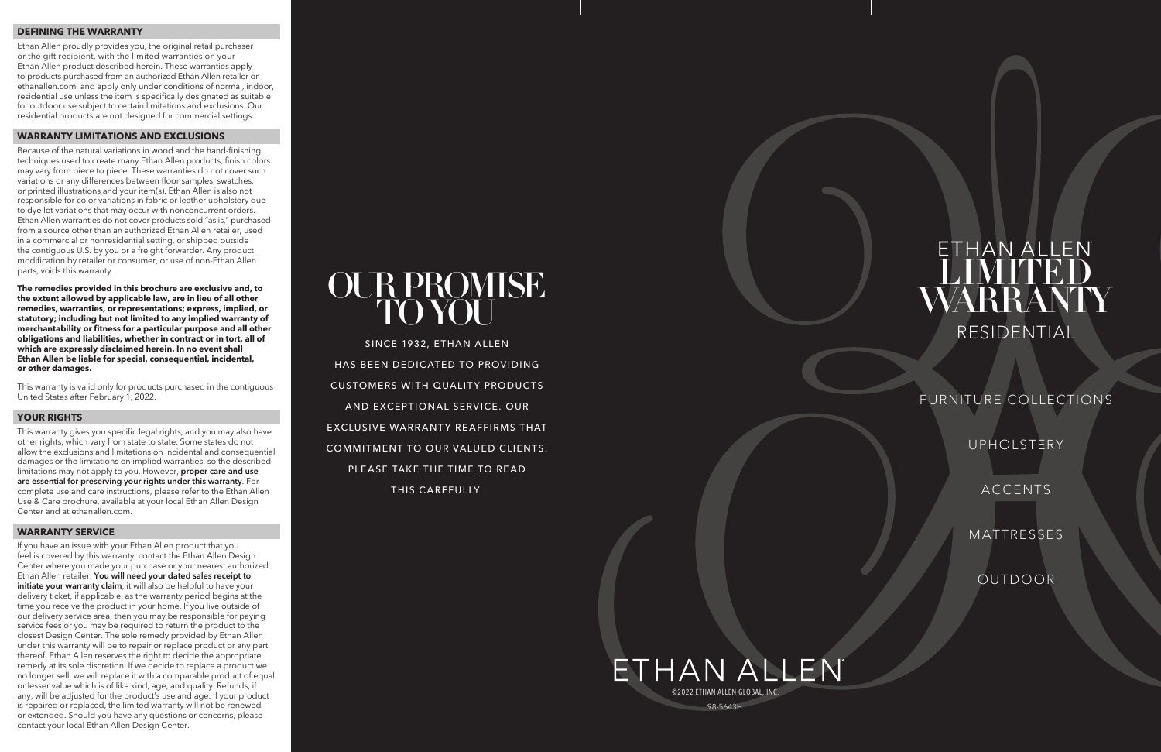### **DEFINING THE WARRANTY**

Ethan Allen proudly provides you, the original retail purchaser or the gift recipient, with the limited warranties on your Ethan Allen product described herein. These warranties apply to products purchased from an authorized Ethan Allen retailer or ethanallen.com, and apply only under conditions of normal, indoor, residential use unless the item is specifically designated as suitable for outdoor use subject to certain limitations and exclusions. Our residential products are not designed for commercial settings.

### **WARRANTY LIMITATIONS AND EXCLUSIONS**

Because of the natural variations in wood and the hand-finishing techniques used to create many Ethan Allen products, finish colors may vary from piece to piece. These warranties do not cover such variations or any differences between floor samples, swatches, or printed illustrations and your item(s). Ethan Allen is also not responsible for color variations in fabric or leather upholstery due to dye lot variations that may occur with nonconcurrent orders. Ethan Allen warranties do not cover products sold "as is," purchased from a source other than an authorized Ethan Allen retailer, used in a commercial or nonresidential setting, or shipped outside the contiguous U.S. by you or a freight forwarder. Any product modification by retailer or consumer, or use of non-Ethan Allen parts, voids this warranty.

**The remedies provided in this brochure are exclusive and, to the extent allowed by applicable law, are in lieu of all other remedies, warranties, or representations; express, implied, or statutory; including but not limited to any implied warranty of merchantability or fitness for a particular purpose and all other obligations and liabilities, whether in contract or in tort, all of which are expressly disclaimed herein. In no event shall Ethan Allen be liable for special, consequential, incidental, or other damages.**

This warranty is valid only for products purchased in the contiguous United States after February 1, 2022.

## ETHAN ALLEN ©2022 ETHAN ALLEN GLOBAL, INC.98-5643H

# OUR PROMISE TO YOU

### **YOUR RIGHTS**

SINCE 1932, ETHAN ALLEN HAS BEEN DEDICATED TO PROVIDING **CUSTOMERS WITH QUALITY PRODUCTS** AND EXCEPTIONAL SERVICE. OUR EXCLUSIVE WARRANTY REAFFIRMS THAT COMMITMENT TO OUR VALUED CLIENTS. PLEASE TAKE THE TIME TO READ THIS CAREFULLY.

This warranty gives you specific legal rights, and you may also have other rights, which vary from state to state. Some states do not allow the exclusions and limitations on incidental and consequential damages or the limitations on implied warranties, so the described limitations may not apply to you. However, proper care and use are essential for preserving your rights under this warranty. For complete use and care instructions, please refer to the Ethan Allen Use & Care brochure, available at your local Ethan Allen Design Center and at ethanallen.com.

### **WARRANTY SERVICE**

If you have an issue with your Ethan Allen product that you feel is covered by this warranty, contact the Ethan Allen Design Center where you made your purchase or your nearest authorized Ethan Allen retailer. You will need your dated sales receipt to initiate your warranty claim; it will also be helpful to have your delivery ticket, if applicable, as the warranty period begins at the time you receive the product in your home. If you live outside of our delivery service area, then you may be responsible for paying service fees or you may be required to return the product to the closest Design Center. The sole remedy provided by Ethan Allen under this warranty will be to repair or replace product or any part thereof. Ethan Allen reserves the right to decide the appropriate remedy at its sole discretion. If we decide to replace a product we no longer sell, we will replace it with a comparable product of equal or lesser value which is of like kind, age, and quality. Refunds, if any, will be adjusted for the product's use and age. If your product is repaired or replaced, the limited warranty will not be renewed or extended. Should you have any questions or concerns, please contact your local Ethan Allen Design Center.

# LIMITED WARRANTY RESIDENTIAL

### FURNITURE COLLECTIONS

UPHOLSTERY

ACCENTS

MATTRESSES

OUTDOOR